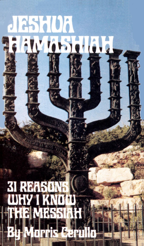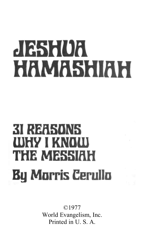# $J 1255 107$ HAMASHIAH

# **31 REESUNS** (0) 212 | KR(0) 00 THE MASSIFIT **By Morris Cerullo**

©1977 World Evangelism, Inc. Printed in U. S. A.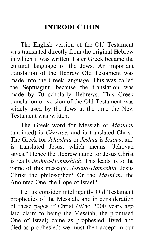# **INTRODUCTION**

The English version of the Old Testament was translated directly from the original Hebrew in which it was written. Later Greek became the cultural language of the Jews. An important translation of the Hebrew Old Testament was made into the Greek language. This was called the Septuagint, because the translation was made by 70 scholarly Hebrews. This Greek translation or version of the Old Testament was widely used by the Jews at the time the New Testament was written.

The Greek word for Messiah or *Mashiah* (anointed) is *Christos*, and is translated Christ. The Greek for *Jehoshua* or *Jeshua* is *Iesous*, and is translated Jesus, which means "Jehovah saves." Hence the Hebrew name for Jesus Christ is really *Jeshua-Hamashiah*. This leads us to the name of this message, *Jeshua-Hamashia.* Jesus Christ the philosopher? Or the *Mashiah*, the Anointed One, the Hope of Israel?

Let us consider intelligently Old Testament prophecies of the Messiah, and in consideration of these pages if Christ (Who 2000 years ago laid claim to being the Messiah, the promised One of Israel) came as prophesied, lived and died as prophesied; we must then accept in our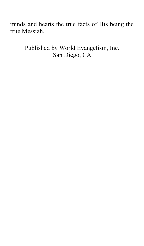minds and hearts the true facts of His being the true Messiah.

> Published by World Evangelism, Inc. San Diego, CA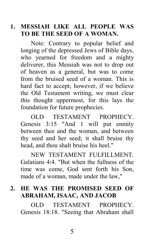#### **1. MESSIAH LIKE ALL PEOPLE WAS TO BE THE SEED OF A WOMAN.**

Note: Contrary to popular belief and longing of the depressed Jews of Bible days, who yearned for freedom and a mighty deliverer, this Messiah was not to drop out of heaven as a general, but was to come from the bruised seed of a woman. This is hard fact to accept; however, if we believe the Old Testament writing, we must clear this thought uppermost, for this lays the foundation for future prophecies.

OLD TESTAMENT PROPHECY. Genesis 3:15 "And 1 will put enmity between thee and the woman, and between thy seed and her seed; it shall bruise thy head, and thou shalt bruise his heel."

NEW TESTAMENT FULFILLMENT. Galatians 4:4. "But when the fullness of the time was come, God sent forth his Son, made of a woman, made under the law,"

# **2. HE WAS THE PROMISED SEED OF ABRAHAM, ISAAC, AND JACOB**

OLD TESTAMENT PROPHECY. Genesis 18:18. "Seeing that Abraham shall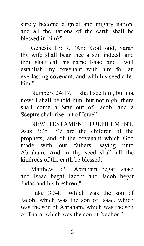surely become a great and mighty nation, and all the nations of the earth shall be blessed in him?"

Genesis 17:19. "And God said, Sarah thy wife shall bear thee a son indeed; and thou shalt call his name Isaac: and I will establish my covenant with him for an everlasting covenant, and with his seed after him."

Numbers 24:17. "I shall see him, but not now: I shall behold him, but not nigh: there shall come a Star out of Jacob, and a Sceptre shall rise out of Israel"

NEW TESTAMENT FULFILLMENT. Acts 3:25 "Ye are the children of the prophets, and of the covenant which God made with our fathers, saying unto Abraham, And in thy seed shall all the kindreds of the earth be blessed."

Matthew 1:2. "Abraham begat Isaac: and Isaac begat Jacob; and Jacob begat Judas and his brethren;"

Luke 3:34. "Which was the son of Jacob, which was the son of Isaac, which was the son of Abraham, which was the son of Thara, which was the son of Nachor,"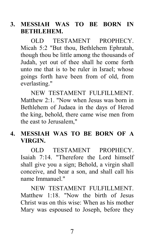#### **3. MESSIAH WAS TO BE BORN IN BETHLEHEM.**

OLD TESTAMENT PROPHECY Micah 5:2 "But thou, Bethlehem Ephratah, though thou be little among the thousands of Judah, yet out of thee shall he come forth unto me that is to be ruler in Israel; whose goings forth have been from of old, from everlasting."

NEW TESTAMENT FULFILLMENT. Matthew 2:1. "Now when Jesus was born in Bethlehem of Judaea in the days of Herod the king, behold, there came wise men from the east to Jerusalem,"

#### **4. MESSIAH WAS TO BE BORN OF A VIRGIN.**

OLD TESTAMENT PROPHECY. Isaiah 7:14. "Therefore the Lord himself shall give you a sign; Behold, a virgin shall conceive, and bear a son, and shall call his name Immanuel."

NEW TESTAMENT FULFILLMENT. Matthew 1:18. "Now the birth of Jesus Christ was on this wise: When as his mother Mary was espoused to Joseph, before they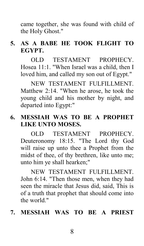came together, she was found with child of the Holy Ghost."

# **5. AS A BABE HE TOOK FLIGHT TO EGYPT.**

OLD TESTAMENT PROPHECY. Hosea 11:1. "When Israel was a child, then I loved him, and called my son out of Egypt."

NEW TESTAMENT FULFILLMENT. Matthew 2:14. "When he arose, he took the young child and his mother by night, and departed into Egypt:"

## **6. MESSIAH WAS TO BE A PROPHET LIKE UNTO MOSES.**

OLD TESTAMENT PROPHECY. Deuteronomy 18:15. "The Lord thy God will raise up unto thee a Prophet from the midst of thee, of thy brethren, like unto me; unto him ye shall hearken;"

NEW TESTAMENT FULFILLMENT. John 6:14. "Then those men, when they had seen the miracle that Jesus did, said, This is of a truth that prophet that should come into the world."

#### **7. MESSIAH WAS TO BE A PRIEST**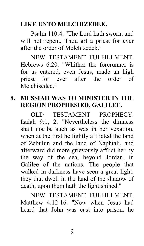#### **LIKE UNTO MELCHIZEDEK.**

Psalm 110:4. "The Lord hath sworn, and will not repent, Thou art a priest for ever after the order of Melchizedek."

NEW TESTAMENT FULFILLMENT. Hebrews 6:20. "Whither the forerunner is for us entered, even Jesus, made an high priest for ever after the order of Melchisedec."

# **8. MESSIAH WAS TO MINISTER IN THE REGION PROPHESIED, GALILEE.**

OLD TESTAMENT PROPHECY. Isaiah 9:1, 2. "Nevertheless the dimness shall not be such as was in her vexation, when at the first he lightly afflicted the land of Zebulun and the land of Naphtali, and afterward did more grievously afflict her by the way of the sea, beyond Jordan, in Galilee of the nations. The people that walked in darkness have seen a great light: they that dwell in the land of the shadow of death, upon them hath the light shined."

NEW TESTAMENT FULFILLMENT. Matthew 4:12-16. "Now when Jesus had heard that John was cast into prison, he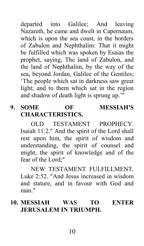departed into Galilee; And leaving Nazareth, he came and dwelt in Capernaum, which is upon the sea coast, in the borders of Zabulon and Nephthalim: That it might be fulfilled which was spoken by Esaias the prophet, saying, The land of Zabulon, and the land of Nephthalim, by the way of the sea, beyond Jordan, Galilee of the Gentiles; 'The people which sat in darkness saw great light; and to them which sat in the region and shadow of death light is sprung up.'"

# **9. SOME OF MESSIAH'S CHARACTERISTICS.**

OLD TESTAMENT PROPHECY. Isaiah 11:2." And the spirit of the Lord shall rest upon him, the spirit of wisdom and understanding, the spirit of counsel and might, the spirit of knowledge and of the fear of the Lord;"

NEW TESTAMENT FULFILLMENT. Luke 2:52. "And Jesus increased in wisdom and stature, and in favour with God and man<sup>"</sup>

## **10. MESSIAH WAS TO ENTER JERUSALEM IN TRIUMPH.**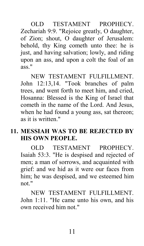OLD TESTAMENT PROPHECY. Zechariah 9:9. "Rejoice greatly, O daughter, of Zion; shout, O daughter of Jerusalem: behold, thy King cometh unto thee: he is just, and having salvation; lowly, and riding upon an ass, and upon a colt the foal of an ass."

NEW TESTAMENT FULFILLMENT. John 12:13,14. "Took branches of palm trees, and went forth to meet him, and cried, Hosanna: Blessed is the King of Israel that cometh in the name of the Lord. And Jesus, when he had found a young ass, sat thereon; as it is written."

## **11. MESSIAH WAS TO BE REJECTED BY HIS OWN PEOPLE.**

OLD TESTAMENT PROPHECY. Isaiah 53:3. "He is despised and rejected of men; a man of sorrows, and acquainted with grief: and we hid as it were our faces from him; he was despised, and we esteemed him not."

NEW TESTAMENT FULFILLMENT. John 1:11. "He came unto his own, and his own received him not."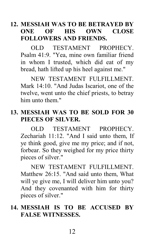#### **12. MESSIAH WAS TO BE BETRAYED BY ONE OF HIS OWN CLOSE FOLLOWERS AND FRIENDS.**

OLD TESTAMENT PROPHECY. Psalm 41:9. "Yea, mine own familiar friend in whom I trusted, which did eat of my bread, hath lifted up his heel against me."

NEW TESTAMENT FULFILLMENT. Mark 14:10. "And Judas Iscariot, one of the twelve, went unto the chief priests, to betray him unto them."

#### **13. MESSIAH WAS TO BE SOLD FOR 30 PIECES OF SILVER.**

OLD TESTAMENT PROPHECY. Zechariah 11:12. "And I said unto them, If ye think good, give me my price; and if not, forbear. So they weighed for my price thirty pieces of silver."

NEW TESTAMENT FULFILLMENT. Matthew 26:15. "And said unto them, What will ye give me, I will deliver him unto you? And they covenanted with him for thirty pieces of silver."

#### **14. MESSIAH IS TO BE ACCUSED BY FALSE WITNESSES.**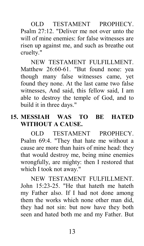OLD TESTAMENT PROPHECY. Psalm 27:12. "Deliver me not over unto the will of mine enemies: for false witnesses are risen up against me, and such as breathe out cruelty."

NEW TESTAMENT FULFILLMENT. Matthew 26:60-61. "But found none: yea though many false witnesses came, yet found they none. At the last came two false witnesses, And said, this fellow said, I am able to destroy the temple of God, and to build it in three days."

#### **15. MESSIAH WAS TO BE HATED WITHOUT A CAUSE.**

OLD TESTAMENT PROPHECY. Psalm 69:4. "They that hate me without a cause are more than hairs of mine head: they that would destroy me, being mine enemies wrongfully, are mighty: then I restored that which I took not away."

NEW TESTAMENT FULFILLMENT. John 15:23-25. "He that hateth me hateth my Father also. If I had not done among them the works which none other man did, they had not sin: but now have they both seen and hated both me and my Father. But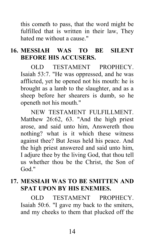this cometh to pass, that the word might be fulfilled that is written in their law, They hated me without a cause."

# **16. MESSIAH WAS TO BE SILENT BEFORE HIS ACCUSERS.**

OLD TESTAMENT PROPHECY. Isaiah 53:7. "He was oppressed, and he was afflicted, yet he opened not his mouth: he is brought as a lamb to the slaughter, and as a sheep before her shearers is dumb, so he openeth not his mouth."

NEW TESTAMENT FULFILLMENT. Matthew 26:62, 63. "And the high priest arose, and said unto him, Answereth thou nothing? what is it which these witness against thee? But Jesus held his peace. And the high priest answered and said unto him, I adjure thee by the living God, that thou tell us whether thou be the Christ, the Son of God<sup>"</sup>

# **17. MESSIAH WAS TO BE SMITTEN AND SPAT UPON BY HIS ENEMIES.**

OLD TESTAMENT PROPHECY. Isaiah 50:6. "I gave my back to the smiters, and my cheeks to them that plucked off the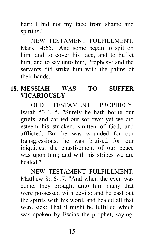hair: I hid not my face from shame and spitting."

NEW TESTAMENT FULFILLMENT. Mark 14:65. "And some began to spit on him, and to cover his face, and to buffet him, and to say unto him, Prophesy: and the servants did strike him with the palms of their hands."

# **18. MESSIAH WAS TO SUFFER VICARIOUSLY.**

OLD TESTAMENT PROPHECY. Isaiah 53:4, 5. "Surely he hath borne our griefs, and carried our sorrows: yet we did esteem his stricken, smitten of God, and afflicted. But he was wounded for our transgressions, he was bruised for our iniquities: the chastisement of our peace was upon him; and with his stripes we are healed."

NEW TESTAMENT FULFILLMENT. Matthew  $8.16-17$  "And when the even was come, they brought unto him many that were possessed with devils: and he cast out the spirits with his word, and healed all that were sick: That it might be fulfilled which was spoken by Esaias the prophet, saying,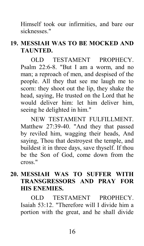Himself took our infirmities, and bare our sicknesses."

## **19. MESSIAH WAS TO BE MOCKED AND TAUNTED.**

OLD TESTAMENT PROPHECY. Psalm 22:6-8. "But I am a worm, and no man; a reproach of men, and despised of the people. All they that see me laugh me to scorn: they shoot out the lip, they shake the head, saying, He trusted on the Lord that he would deliver him: let him deliver him, seeing he delighted in him."

NEW TESTAMENT FULFILLMENT. Matthew 27:39-40. "And they that passed by reviled him, wagging their heads, And saying, Thou that destroyest the temple, and buildest it in three days, save thyself. If thou be the Son of God, come down from the cross."

#### **20. MESSIAH WAS TO SUFFER WITH TRANSGRESSORS AND PRAY FOR HIS ENEMIES.**

OLD TESTAMENT PROPHECY. Isaiah 53:12. "Therefore will I divide him a portion with the great, and he shall divide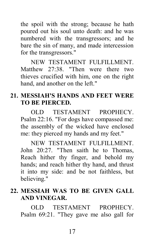the spoil with the strong; because he hath poured out his soul unto death: and he was numbered with the transgressors; and he bare the sin of many, and made intercession for the transgressors."

NEW TESTAMENT FULFILLMENT. Matthew 27:38. "Then were there two thieves crucified with him, one on the right hand, and another on the left."

#### **21. MESSIAH'S HANDS AND FEET WERE TO BE PIERCED.**

OLD TESTAMENT PROPHECY. Psalm 22:16. "For dogs have compassed me: the assembly of the wicked have enclosed me: they pierced my hands and my feet."

NEW TESTAMENT FULFILLMENT. John 20:27. "Then saith he to Thomas, Reach hither thy finger, and behold my hands; and reach hither thy hand, and thrust it into my side: and be not faithless, but believing."

#### **22. MESSIAH WAS TO BE GIVEN GALL AND VINEGAR.**

OLD TESTAMENT PROPHECY. Psalm 69:21. "They gave me also gall for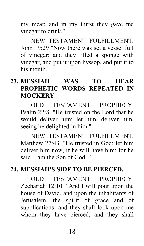my meat; and in my thirst they gave me vinegar to drink."

NEW TESTAMENT FULFILLMENT. John 19:29 "Now there was set a vessel full of vinegar: and they filled a sponge with vinegar, and put it upon hyssop, and put it to his mouth."

# **23. MESSIAH WAS TO HEAR PROPHETIC WORDS REPEATED IN MOCKERY.**

OLD TESTAMENT PROPHECY. Psalm 22:8. "He trusted on the Lord that he would deliver him: let him, deliver him, seeing he delighted in him."

NEW TESTAMENT FULFILLMENT. Matthew 27:43. "He trusted in God; let him deliver him now, if he will have him: for he said, I am the Son of God. "

#### **24. MESSIAH'S SIDE TO BE PIERCED.**

OLD TESTAMENT PROPHECY. Zechariah 12:10. "And I will pour upon the house of David, and upon the inhabitants of Jerusalem, the spirit of grace and of supplications: and they shall look upon me whom they have pierced, and they shall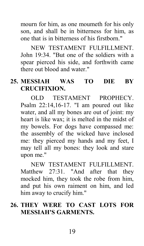mourn for him, as one moumeth for his only son, and shall be in bitterness for him, as one that is in bitterness of his firstborn."

NEW TESTAMENT FULFILLMENT. John 19:34. "But one of the soldiers with a spear pierced his side, and forthwith came there out blood and water."

## **25. MESSIAH WAS TO DIE BY CRUCIFIXION.**

OLD TESTAMENT PROPHECY. Psalm 22:14,16-17. "I am poured out like water, and all my bones are out of joint: my heart is like wax; it is melted in the midst of my bowels. For dogs have compassed me: the assembly of the wicked have inclosed me: they pierced my hands and my feet, I may tell all my bones: they look and stare upon me."

NEW TESTAMENT FULFILLMENT. Matthew 27:31. "And after that they mocked him, they took the robe from him, and put his own raiment on him, and led him away to crucify him."

#### **26. THEY WERE TO CAST LOTS FOR MESSIAH'S GARMENTS.**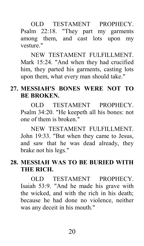OLD TESTAMENT PROPHECY. Psalm 22:18. "They part my garments among them, and cast lots upon my vesture<sup>"</sup>

NEW TESTAMENT FULFILLMENT. Mark 15:24. "And when they had crucified him, they parted his garments, casting lots upon them, what every man should take."

## **27. MESSIAH'S BONES WERE NOT TO BE BROKEN.**

OLD TESTAMENT PROPHECY. Psalm 34:20. "He keepeth all his bones: not one of them is broken."

NEW TESTAMENT FULFILLMENT. John 19:33. "But when they came to Jesus, and saw that he was dead already, they brake not his legs."

# **28. MESSIAH WAS TO BE BURIED WITH THE RICH.**

OLD TESTAMENT PROPHECY. Isaiah 53:9. "And he made his grave with the wicked, and with the rich in his death; because he had done no violence, neither was any deceit in his mouth."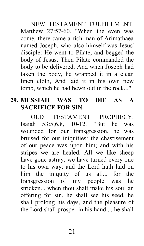NEW TESTAMENT FULFILLMENT. Matthew 27:57-60. "When the even was come, there came a rich man of Arimathaea named Joseph, who also himself was Jesus' disciple: He went to Pilate, and begged the body of Jesus. Then Pilate commanded the body to be delivered. And when Joseph had taken the body, he wrapped it in a clean linen cloth, And laid it in his own new tomb, which he had hewn out in the rock..."

#### **29. MESSIAH WAS TO DIE AS A SACRIFICE FOR SIN.**

OLD TESTAMENT PROPHECY. Isaiah 53:5,6,8, 10-12. "But he was wounded for our transgression, he was bruised for our iniquities: the chastisement of our peace was upon him; and with his stripes we are healed. All we like sheep have gone astray; we have turned every one to his own way; and the Lord hath laid on him the iniquity of us all... for the transgression of my people was he stricken... when thou shalt make his soul an offering for sin, he shall see his seed, he shall prolong his days, and the pleasure of the Lord shall prosper in his hand.... he shall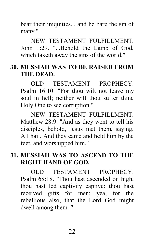bear their iniquities... and he bare the sin of many."

NEW TESTAMENT FULFILLMENT. John 1:29. "...Behold the Lamb of God, which taketh away the sins of the world."

#### **30. MESSIAH WAS TO BE RAISED FROM THE DEAD.**

OLD TESTAMENT PROPHECY. Psalm 16:10. "For thou wilt not leave my soul in hell; neither wilt thou suffer thine Holy One to see corruption."

NEW TESTAMENT FULFILLMENT. Matthew 28:9. "And as they went to tell his disciples, behold, Jesus met them, saying, All hail. And they came and held him by the feet, and worshipped him."

## **31. MESSIAH WAS TO ASCEND TO THE RIGHT HAND OF GOD.**

OLD TESTAMENT PROPHECY. Psalm 68:18. "Thou hast ascended on high, thou hast led captivity captive: thou hast received gifts for men; yea, for the rebellious also, that the Lord God might dwell among them. "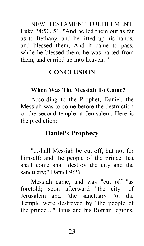NEW TESTAMENT FULFILLMENT. Luke 24:50, 51. "And he led them out as far as to Bethany, and he lifted up his hands, and blessed them, And it came to pass, while he blessed them, he was parted from them, and carried up into heaven. "

# **CONCLUSION**

# **When Was The Messiah To Come?**

According to the Prophet, Daniel, the Messiah was to come before the destruction of the second temple at Jerusalem. Here is the prediction:

# **Daniel's Prophecy**

"...shall Messiah be cut off, but not for himself: and the people of the prince that shall come shall destroy the city and the sanctuary;" Daniel 9:26.

Messiah came, and was "cut off "as foretold; soon afterward "the city" of Jerusalem and "the sanctuary "of the Temple were destroyed by "the people of the prince...." Titus and his Roman legions,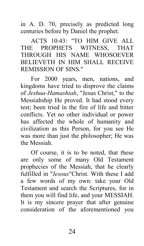in A. D. 70, precisely as predicted long centuries before by Daniel the prophet.

ACTS 10:43: "TO HIM GIVE ALL THE PROPHETS WITNESS, THAT THROUGH HIS NAME WHOSOEVER BELIEVETH IN HIM SHALL RECEIVE REMISSION OF SINS."

For 2000 years, men, nations, and kingdoms have tried to disprove the claims of *Jeshua-Hamashiah*, "Jesus Christ," to the Messiahship He proved. It had stood every test; been tried in the fire of life and bitter conflicts. Yet no other individual or power has affected the whole of humanity and civilization as this Person, for you see He was more than just the philosopher; He was the Messiah.

Of course, it is to be noted, that these are only some of many Old Testament prophecies of the Messiah, that he clearly fulfilled in "*Iesous*"Christ. With these I add a few words of my own: take your Old Testament and search the Scriptures, for in them you will find life, and your MESSIAH. It is my sincere prayer that after genuine consideration of the aforementioned you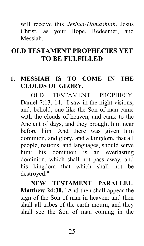will receive this *Jeshua-Hamashiah*, Jesus Christ, as your Hope, Redeemer, and Messiah.

# **OLD TESTAMENT PROPHECIES YET TO BE FULFILLED**

#### **1. MESSIAH IS TO COME IN THE CLOUDS OF GLORY.**

OLD TESTAMENT PROPHECY. Daniel 7:13, 14. "I saw in the night visions, and, behold, one like the Son of man came with the clouds of heaven, and came to the Ancient of days, and they brought him near before him. And there was given him dominion, and glory, and a kingdom, that all people, nations, and languages, should serve him: his dominion is an everlasting dominion, which shall not pass away, and his kingdom that which shall not be destroyed."

**NEW TESTAMENT PARALLEL. Matthew 24:30.** "And then shall appear the sign of the Son of man in heaven: and then shall all tribes of the earth mourn, and they shall see the Son of man coming in the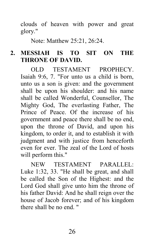clouds of heaven with power and great glory."

Note: Matthew 25:21, 26:24.

#### **2. MESSIAH IS TO SIT ON THE THRONE OF DAVID.**

OLD TESTAMENT PROPHECY. Isaiah 9:6, 7. "For unto us a child is born, unto us a son is given: and the government shall be upon his shoulder: and his name shall be called Wonderful, Counsellor, The Mighty God, The everlasting Father, The Prince of Peace. Of the increase of his government and peace there shall be no end, upon the throne of David, and upon his kingdom, to order it, and to establish it with judgment and with justice from henceforth even for ever. The zeal of the Lord of hosts will perform this."

NEW TESTAMENT PARALLEL: Luke 1:32, 33. "He shall be great, and shall be called the Son of the Highest: and the Lord God shall give unto him the throne of his father David: And he shall reign over the house of Jacob forever; and of his kingdom there shall be no end. "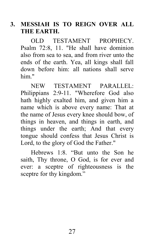#### **3. MESSIAH IS TO REIGN OVER ALL THE EARTH.**

OLD TESTAMENT PROPHECY. Psalm 72:8, 11. "He shall have dominion also from sea to sea, and from river unto the ends of the earth. Yea, all kings shall fall down before him: all nations shall serve him."

NEW TESTAMENT PARALLEL: Philippians 2:9-11. "Wherefore God also hath highly exalted him, and given him a name which is above every name: That at the name of Jesus every knee should bow, of things in heaven, and things in earth, and things under the earth; And that every tongue should confess that Jesus Christ is Lord, to the glory of God the Father."

Hebrews 1:8. "But unto the Son he saith, Thy throne, O God, is for ever and ever: a sceptre of righteousness is the sceptre for thy kingdom."